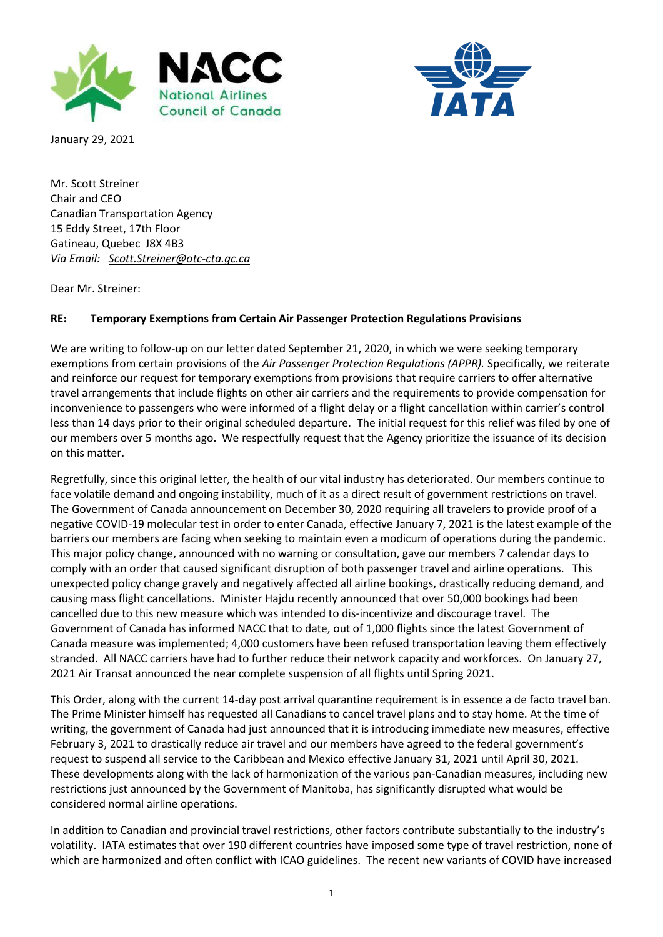



January 29, 2021

Mr. Scott Streiner Chair and CEO Canadian Transportation Agency 15 Eddy Street, 17th Floor Gatineau, Quebec J8X 4B3 *Via Email: [Scott.Streiner@otc-cta.gc.ca](mailto:Scott.Streiner@otc-cta.gc.ca)*

Dear Mr. Streiner:

## **RE: Temporary Exemptions from Certain Air Passenger Protection Regulations Provisions**

We are writing to follow-up on our letter dated September 21, 2020, in which we were seeking temporary exemptions from certain provisions of the *Air Passenger Protection Regulations (APPR).* Specifically, we reiterate and reinforce our request for temporary exemptions from provisions that require carriers to offer alternative travel arrangements that include flights on other air carriers and the requirements to provide compensation for inconvenience to passengers who were informed of a flight delay or a flight cancellation within carrier's control less than 14 days prior to their original scheduled departure. The initial request for this relief was filed by one of our members over 5 months ago. We respectfully request that the Agency prioritize the issuance of its decision on this matter.

Regretfully, since this original letter, the health of our vital industry has deteriorated. Our members continue to face volatile demand and ongoing instability, much of it as a direct result of government restrictions on travel. The Government of Canada announcement on December 30, 2020 requiring all travelers to provide proof of a negative COVID-19 molecular test in order to enter Canada, effective January 7, 2021 is the latest example of the barriers our members are facing when seeking to maintain even a modicum of operations during the pandemic. This major policy change, announced with no warning or consultation, gave our members 7 calendar days to comply with an order that caused significant disruption of both passenger travel and airline operations. This unexpected policy change gravely and negatively affected all airline bookings, drastically reducing demand, and causing mass flight cancellations. Minister Hajdu recently announced that over 50,000 bookings had been cancelled due to this new measure which was intended to dis-incentivize and discourage travel. The Government of Canada has informed NACC that to date, out of 1,000 flights since the latest Government of Canada measure was implemented; 4,000 customers have been refused transportation leaving them effectively stranded. All NACC carriers have had to further reduce their network capacity and workforces. On January 27, 2021 Air Transat announced the near complete suspension of all flights until Spring 2021.

This Order, along with the current 14-day post arrival quarantine requirement is in essence a de facto travel ban. The Prime Minister himself has requested all Canadians to cancel travel plans and to stay home. At the time of writing, the government of Canada had just announced that it is introducing immediate new measures, effective February 3, 2021 to drastically reduce air travel and our members have agreed to the federal government's request to suspend all service to the Caribbean and Mexico effective January 31, 2021 until April 30, 2021. These developments along with the lack of harmonization of the various pan-Canadian measures, including new restrictions just announced by the Government of Manitoba, has significantly disrupted what would be considered normal airline operations.

In addition to Canadian and provincial travel restrictions, other factors contribute substantially to the industry's volatility. IATA estimates that over 190 different countries have imposed some type of travel restriction, none of which are harmonized and often conflict with ICAO guidelines. The recent new variants of COVID have increased